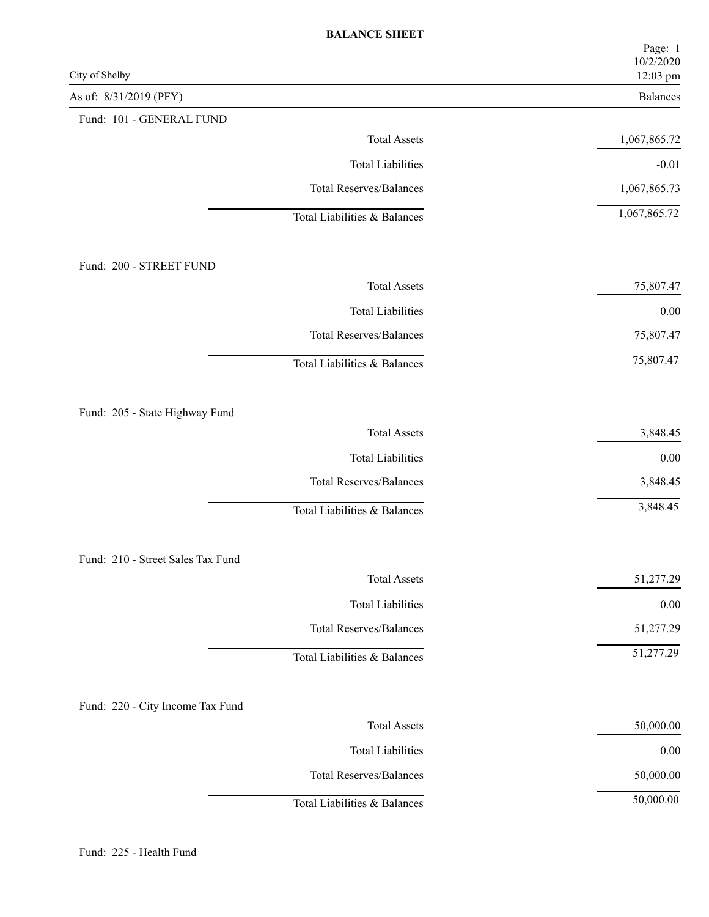| City of Shelby                    | Page: 1<br>10/2/2020<br>12:03 pm |
|-----------------------------------|----------------------------------|
| As of: 8/31/2019 (PFY)            | Balances                         |
| Fund: 101 - GENERAL FUND          |                                  |
| <b>Total Assets</b>               | 1,067,865.72                     |
| <b>Total Liabilities</b>          | $-0.01$                          |
| <b>Total Reserves/Balances</b>    | 1,067,865.73                     |
| Total Liabilities & Balances      | 1,067,865.72                     |
| Fund: 200 - STREET FUND           |                                  |
| <b>Total Assets</b>               | 75,807.47                        |
| <b>Total Liabilities</b>          | $0.00\,$                         |
| <b>Total Reserves/Balances</b>    | 75,807.47                        |
| Total Liabilities & Balances      | 75,807.47                        |
| Fund: 205 - State Highway Fund    |                                  |
| <b>Total Assets</b>               | 3,848.45                         |
| <b>Total Liabilities</b>          | $0.00\,$                         |
| <b>Total Reserves/Balances</b>    | 3,848.45                         |
| Total Liabilities & Balances      | 3,848.45                         |
| Fund: 210 - Street Sales Tax Fund |                                  |
| <b>Total Assets</b>               | 51,277.29                        |
| <b>Total Liabilities</b>          | $0.00\,$                         |
| <b>Total Reserves/Balances</b>    | 51,277.29                        |
| Total Liabilities & Balances      | 51,277.29                        |
| Fund: 220 - City Income Tax Fund  |                                  |
| <b>Total Assets</b>               | 50,000.00                        |
| <b>Total Liabilities</b>          | $0.00\,$                         |
| <b>Total Reserves/Balances</b>    | 50,000.00                        |
| Total Liabilities & Balances      | 50,000.00                        |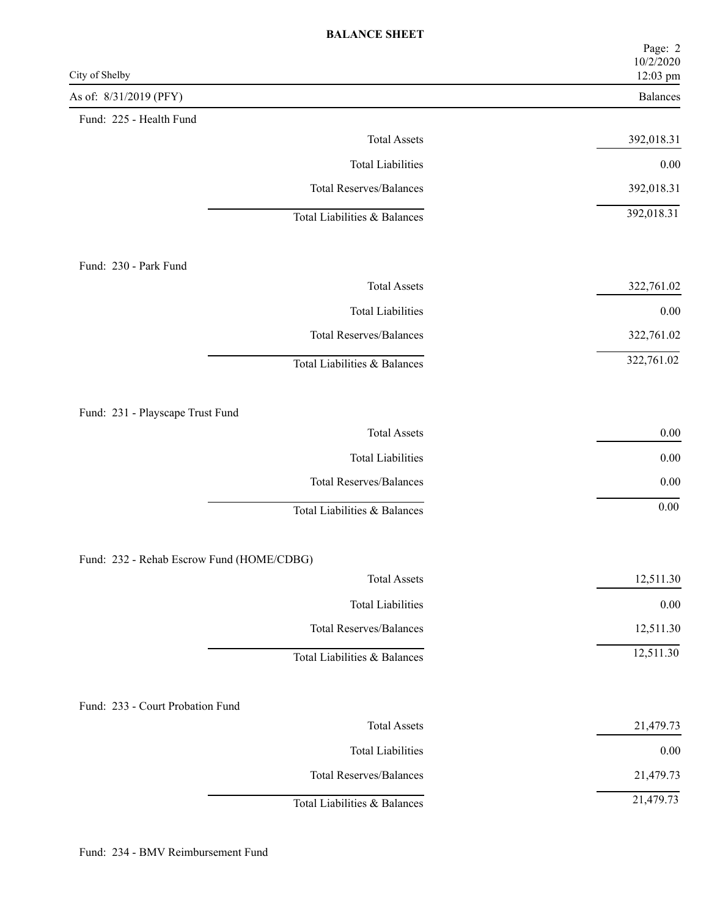| City of Shelby                            | Page: 2<br>10/2/2020<br>12:03 pm |
|-------------------------------------------|----------------------------------|
| As of: 8/31/2019 (PFY)                    | Balances                         |
| Fund: 225 - Health Fund                   |                                  |
| <b>Total Assets</b>                       | 392,018.31                       |
| <b>Total Liabilities</b>                  | $0.00\,$                         |
| <b>Total Reserves/Balances</b>            | 392,018.31                       |
| Total Liabilities & Balances              | 392,018.31                       |
| Fund: 230 - Park Fund                     |                                  |
| <b>Total Assets</b>                       | 322,761.02                       |
| <b>Total Liabilities</b>                  | $0.00\,$                         |
| <b>Total Reserves/Balances</b>            | 322,761.02                       |
| Total Liabilities & Balances              | 322,761.02                       |
| Fund: 231 - Playscape Trust Fund          |                                  |
| <b>Total Assets</b>                       | $0.00\,$                         |
| <b>Total Liabilities</b>                  | $0.00\,$                         |
| <b>Total Reserves/Balances</b>            | 0.00                             |
| Total Liabilities & Balances              | $0.00\,$                         |
| Fund: 232 - Rehab Escrow Fund (HOME/CDBG) |                                  |
| <b>Total Assets</b>                       | 12,511.30                        |
| <b>Total Liabilities</b>                  | $0.00\,$                         |
| <b>Total Reserves/Balances</b>            | 12,511.30                        |
| Total Liabilities & Balances              | 12,511.30                        |
| Fund: 233 - Court Probation Fund          |                                  |
| <b>Total Assets</b>                       | 21,479.73                        |
| <b>Total Liabilities</b>                  | $0.00\,$                         |
| <b>Total Reserves/Balances</b>            | 21,479.73                        |
| Total Liabilities & Balances              | 21,479.73                        |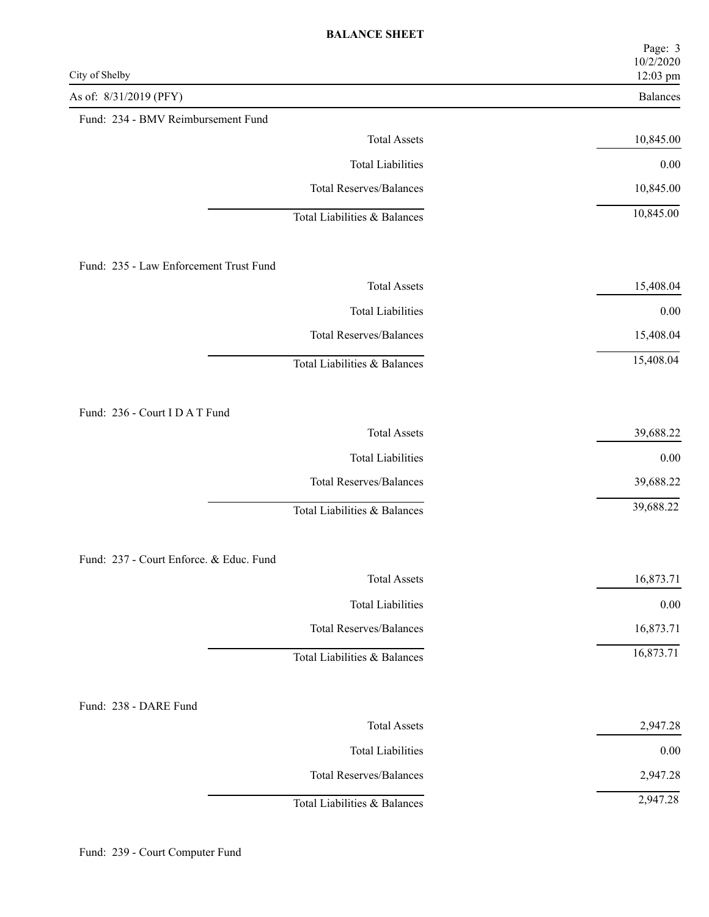| City of Shelby                          | Page: 3<br>10/2/2020<br>12:03 pm |
|-----------------------------------------|----------------------------------|
| As of: 8/31/2019 (PFY)                  | Balances                         |
| Fund: 234 - BMV Reimbursement Fund      |                                  |
| <b>Total Assets</b>                     | 10,845.00                        |
| <b>Total Liabilities</b>                | $0.00\,$                         |
| <b>Total Reserves/Balances</b>          | 10,845.00                        |
| Total Liabilities & Balances            | 10,845.00                        |
| Fund: 235 - Law Enforcement Trust Fund  |                                  |
| <b>Total Assets</b>                     | 15,408.04                        |
| <b>Total Liabilities</b>                | $0.00\,$                         |
| <b>Total Reserves/Balances</b>          | 15,408.04                        |
| Total Liabilities & Balances            | 15,408.04                        |
| Fund: 236 - Court I D A T Fund          |                                  |
| <b>Total Assets</b>                     | 39,688.22                        |
| <b>Total Liabilities</b>                | $0.00\,$                         |
| <b>Total Reserves/Balances</b>          | 39,688.22                        |
| Total Liabilities & Balances            | 39,688.22                        |
| Fund: 237 - Court Enforce. & Educ. Fund |                                  |
| <b>Total Assets</b>                     | 16,873.71                        |
| <b>Total Liabilities</b>                | $0.00\,$                         |
| <b>Total Reserves/Balances</b>          | 16,873.71                        |
| Total Liabilities & Balances            | 16,873.71                        |
| Fund: 238 - DARE Fund                   |                                  |
| <b>Total Assets</b>                     | 2,947.28                         |
| <b>Total Liabilities</b>                | $0.00\,$                         |
| <b>Total Reserves/Balances</b>          | 2,947.28                         |
| Total Liabilities & Balances            | 2,947.28                         |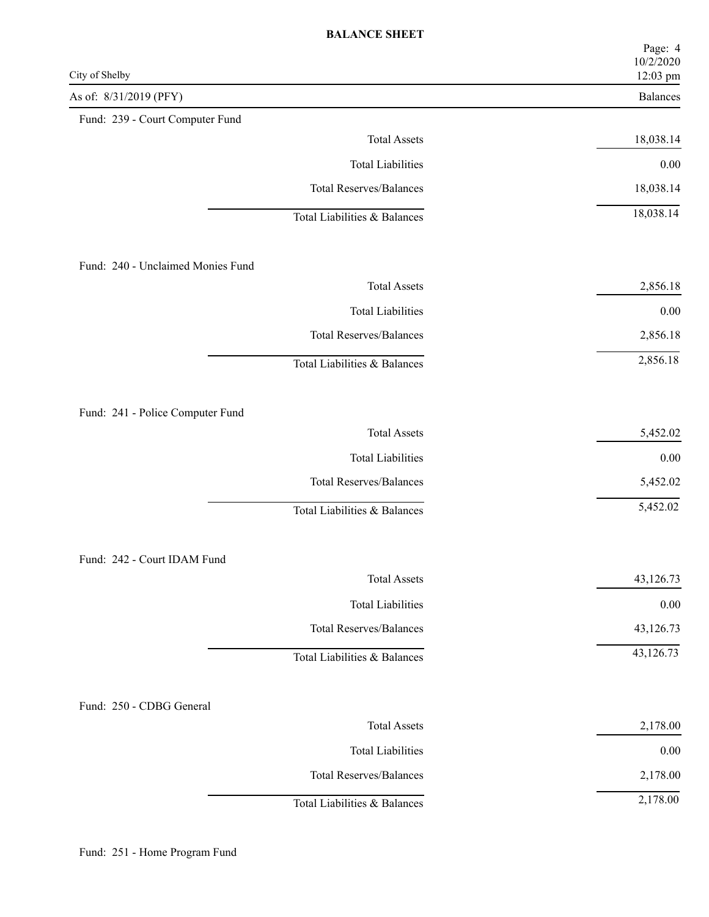| City of Shelby                    | Page: 4<br>10/2/2020<br>12:03 pm |
|-----------------------------------|----------------------------------|
| As of: 8/31/2019 (PFY)            | Balances                         |
| Fund: 239 - Court Computer Fund   |                                  |
| <b>Total Assets</b>               | 18,038.14                        |
| <b>Total Liabilities</b>          | $0.00\,$                         |
| <b>Total Reserves/Balances</b>    | 18,038.14                        |
| Total Liabilities & Balances      | 18,038.14                        |
| Fund: 240 - Unclaimed Monies Fund |                                  |
| <b>Total Assets</b>               | 2,856.18                         |
| <b>Total Liabilities</b>          | $0.00\,$                         |
| <b>Total Reserves/Balances</b>    | 2,856.18                         |
| Total Liabilities & Balances      | 2,856.18                         |
| Fund: 241 - Police Computer Fund  |                                  |
| <b>Total Assets</b>               | 5,452.02                         |
| <b>Total Liabilities</b>          | $0.00\,$                         |
| <b>Total Reserves/Balances</b>    | 5,452.02                         |
| Total Liabilities & Balances      | 5,452.02                         |
| Fund: 242 - Court IDAM Fund       |                                  |
| <b>Total Assets</b>               | 43,126.73                        |
| <b>Total Liabilities</b>          | $0.00\,$                         |
| <b>Total Reserves/Balances</b>    | 43,126.73                        |
| Total Liabilities & Balances      | 43,126.73                        |
| Fund: 250 - CDBG General          |                                  |
| <b>Total Assets</b>               | 2,178.00                         |
| <b>Total Liabilities</b>          | $0.00\,$                         |
| <b>Total Reserves/Balances</b>    | 2,178.00                         |
| Total Liabilities & Balances      | 2,178.00                         |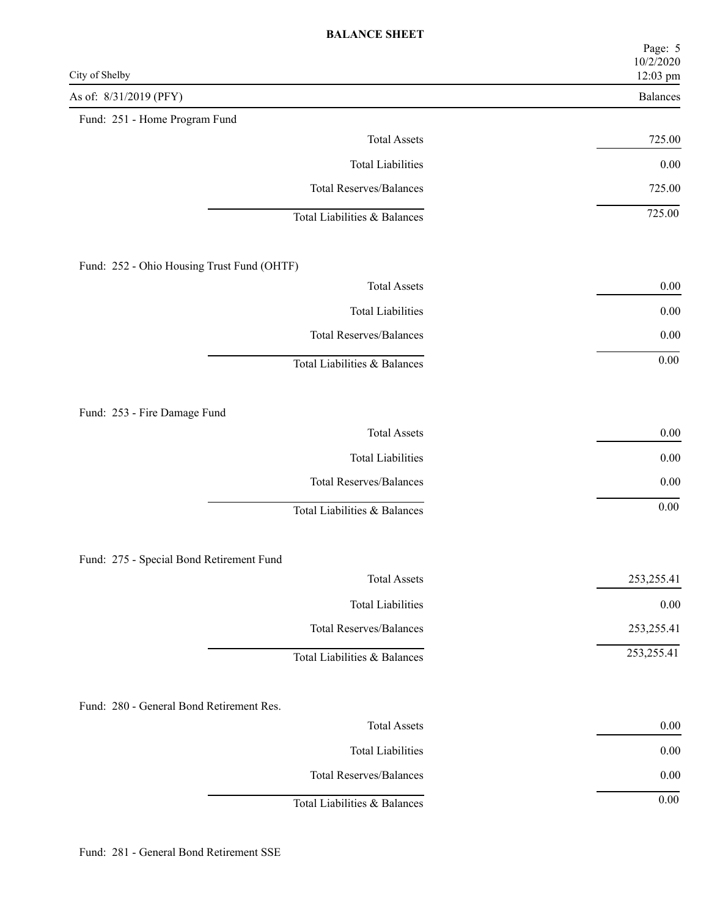| City of Shelby                             | Page: 5<br>10/2/2020<br>12:03 pm |
|--------------------------------------------|----------------------------------|
| As of: 8/31/2019 (PFY)                     | Balances                         |
| Fund: 251 - Home Program Fund              |                                  |
| <b>Total Assets</b>                        | 725.00                           |
| <b>Total Liabilities</b>                   | $0.00\,$                         |
| <b>Total Reserves/Balances</b>             | 725.00                           |
| Total Liabilities & Balances               | 725.00                           |
| Fund: 252 - Ohio Housing Trust Fund (OHTF) |                                  |
| <b>Total Assets</b>                        | $0.00\,$                         |
| <b>Total Liabilities</b>                   | $0.00\,$                         |
| <b>Total Reserves/Balances</b>             | $0.00\,$                         |
| Total Liabilities & Balances               | $0.00\,$                         |
| Fund: 253 - Fire Damage Fund               |                                  |
| <b>Total Assets</b>                        | $0.00\,$                         |
| <b>Total Liabilities</b>                   | $0.00\,$                         |
| <b>Total Reserves/Balances</b>             | 0.00                             |
| Total Liabilities & Balances               | $0.00\,$                         |
| Fund: 275 - Special Bond Retirement Fund   |                                  |
| <b>Total Assets</b>                        | 253, 255.41                      |
| <b>Total Liabilities</b>                   | $0.00\,$                         |
| <b>Total Reserves/Balances</b>             | 253, 255. 41                     |
| Total Liabilities & Balances               | 253, 255.41                      |
| Fund: 280 - General Bond Retirement Res.   |                                  |
| <b>Total Assets</b>                        | $0.00\,$                         |
| <b>Total Liabilities</b>                   | $0.00\,$                         |
| <b>Total Reserves/Balances</b>             | $0.00\,$                         |
| Total Liabilities & Balances               | 0.00                             |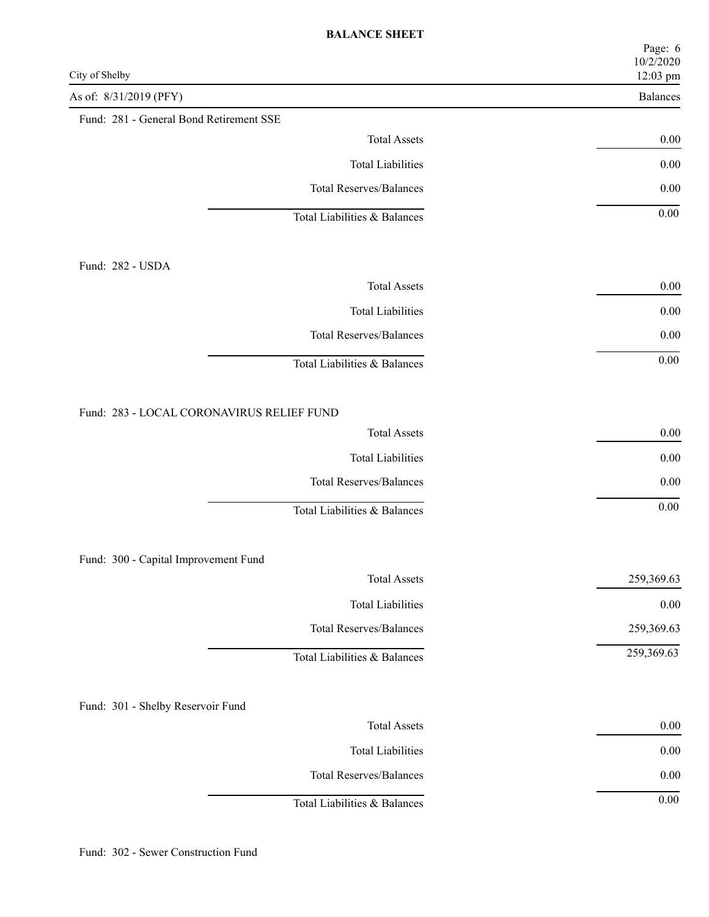| City of Shelby                            | Page: 6<br>10/2/2020<br>12:03 pm |
|-------------------------------------------|----------------------------------|
| As of: 8/31/2019 (PFY)                    | Balances                         |
| Fund: 281 - General Bond Retirement SSE   |                                  |
| <b>Total Assets</b>                       | 0.00                             |
| <b>Total Liabilities</b>                  | $0.00\,$                         |
| <b>Total Reserves/Balances</b>            | $0.00\,$                         |
| Total Liabilities & Balances              | $0.00\,$                         |
| Fund: 282 - USDA                          |                                  |
| <b>Total Assets</b>                       | $0.00\,$                         |
| <b>Total Liabilities</b>                  | $0.00\,$                         |
| <b>Total Reserves/Balances</b>            | $0.00\,$                         |
| Total Liabilities & Balances              | $0.00\,$                         |
| Fund: 283 - LOCAL CORONAVIRUS RELIEF FUND |                                  |
| <b>Total Assets</b>                       | 0.00                             |
| <b>Total Liabilities</b>                  | $0.00\,$                         |
| <b>Total Reserves/Balances</b>            | 0.00                             |
| Total Liabilities & Balances              | $0.00\,$                         |
| Fund: 300 - Capital Improvement Fund      |                                  |
| <b>Total Assets</b>                       | 259,369.63                       |
| <b>Total Liabilities</b>                  | $0.00\,$                         |
| <b>Total Reserves/Balances</b>            | 259,369.63                       |
| Total Liabilities & Balances              | 259,369.63                       |
| Fund: 301 - Shelby Reservoir Fund         |                                  |
| <b>Total Assets</b>                       | $0.00\,$                         |
| <b>Total Liabilities</b>                  | $0.00\,$                         |
| <b>Total Reserves/Balances</b>            | $0.00\,$                         |
| Total Liabilities & Balances              | $0.00\,$                         |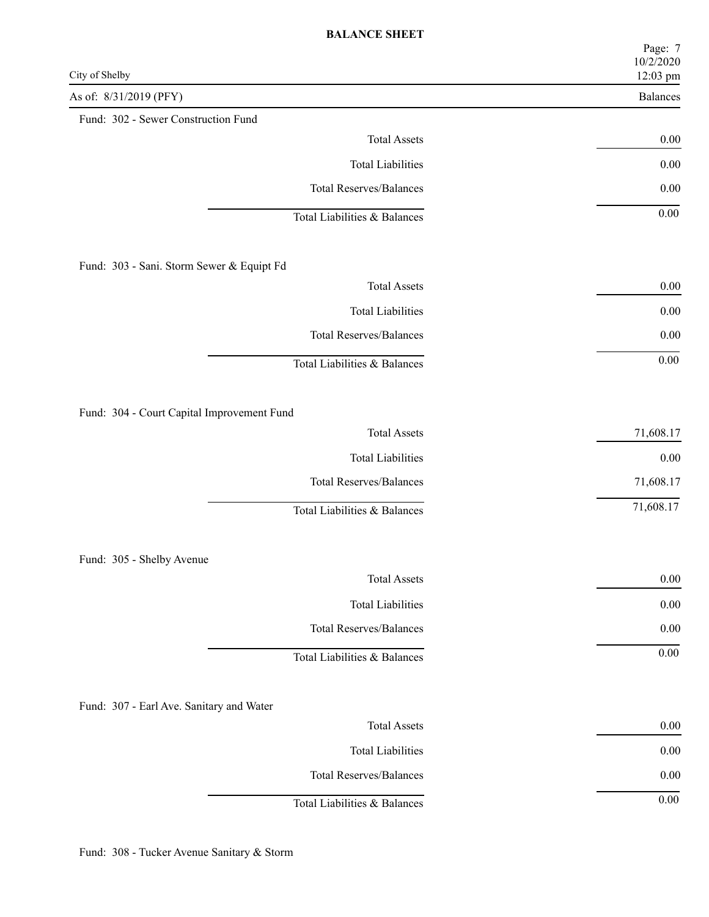| City of Shelby                             | Page: 7<br>10/2/2020<br>12:03 pm |
|--------------------------------------------|----------------------------------|
| As of: 8/31/2019 (PFY)                     | Balances                         |
| Fund: 302 - Sewer Construction Fund        |                                  |
| <b>Total Assets</b>                        | $0.00\,$                         |
| <b>Total Liabilities</b>                   | $0.00\,$                         |
| <b>Total Reserves/Balances</b>             | $0.00\,$                         |
| Total Liabilities & Balances               | $0.00\,$                         |
| Fund: 303 - Sani. Storm Sewer & Equipt Fd  |                                  |
| <b>Total Assets</b>                        | $0.00\,$                         |
| <b>Total Liabilities</b>                   | $0.00\,$                         |
| <b>Total Reserves/Balances</b>             | $0.00\,$                         |
| Total Liabilities & Balances               | $0.00\,$                         |
| Fund: 304 - Court Capital Improvement Fund |                                  |
| <b>Total Assets</b>                        | 71,608.17                        |
| <b>Total Liabilities</b>                   | $0.00\,$                         |
| <b>Total Reserves/Balances</b>             | 71,608.17                        |
| Total Liabilities & Balances               | 71,608.17                        |
| Fund: 305 - Shelby Avenue                  |                                  |
| <b>Total Assets</b>                        | $0.00\,$                         |
| <b>Total Liabilities</b>                   | $0.00\,$                         |
| <b>Total Reserves/Balances</b>             | $0.00\,$                         |
| Total Liabilities & Balances               | $0.00\,$                         |
| Fund: 307 - Earl Ave. Sanitary and Water   |                                  |
| <b>Total Assets</b>                        | $0.00\,$                         |
| <b>Total Liabilities</b>                   | $0.00\,$                         |
| <b>Total Reserves/Balances</b>             | $0.00\,$                         |
| Total Liabilities & Balances               | $0.00\,$                         |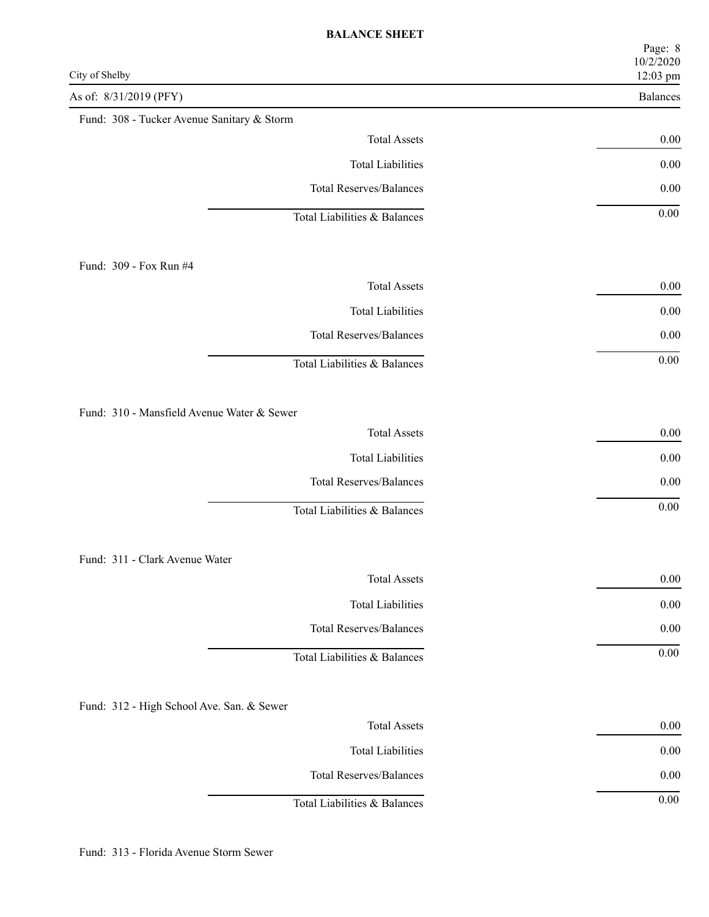| City of Shelby                             | Page: 8<br>10/2/2020<br>12:03 pm |
|--------------------------------------------|----------------------------------|
| As of: 8/31/2019 (PFY)                     | Balances                         |
| Fund: 308 - Tucker Avenue Sanitary & Storm |                                  |
| <b>Total Assets</b>                        | 0.00                             |
| <b>Total Liabilities</b>                   | $0.00\,$                         |
| <b>Total Reserves/Balances</b>             | $0.00\,$                         |
| Total Liabilities & Balances               | $0.00\,$                         |
| Fund: 309 - Fox Run #4                     |                                  |
| <b>Total Assets</b>                        | $0.00\,$                         |
| <b>Total Liabilities</b>                   | $0.00\,$                         |
| <b>Total Reserves/Balances</b>             | $0.00\,$                         |
| Total Liabilities & Balances               | $0.00\,$                         |
| Fund: 310 - Mansfield Avenue Water & Sewer |                                  |
| <b>Total Assets</b>                        | 0.00                             |
| <b>Total Liabilities</b>                   | $0.00\,$                         |
| <b>Total Reserves/Balances</b>             | 0.00                             |
| Total Liabilities & Balances               | $0.00\,$                         |
| Fund: 311 - Clark Avenue Water             |                                  |
| <b>Total Assets</b>                        | $0.00\,$                         |
| <b>Total Liabilities</b>                   | $0.00\,$                         |
| <b>Total Reserves/Balances</b>             | $0.00\,$                         |
| Total Liabilities & Balances               | $0.00\,$                         |
| Fund: 312 - High School Ave. San. & Sewer  |                                  |
| <b>Total Assets</b>                        | $0.00\,$                         |
| <b>Total Liabilities</b>                   | $0.00\,$                         |
| <b>Total Reserves/Balances</b>             | $0.00\,$                         |
| Total Liabilities & Balances               | $0.00\,$                         |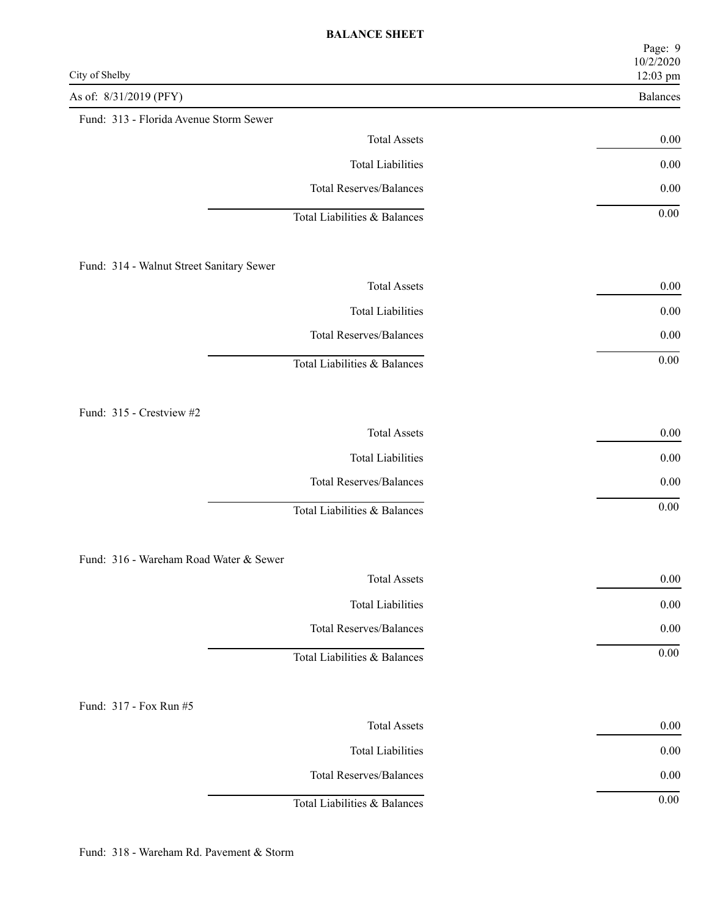| City of Shelby                           | Page: 9<br>10/2/2020<br>12:03 pm |
|------------------------------------------|----------------------------------|
| As of: 8/31/2019 (PFY)                   | Balances                         |
| Fund: 313 - Florida Avenue Storm Sewer   |                                  |
| <b>Total Assets</b>                      | $0.00\,$                         |
| <b>Total Liabilities</b>                 | $0.00\,$                         |
| <b>Total Reserves/Balances</b>           | $0.00\,$                         |
| Total Liabilities & Balances             | $0.00\,$                         |
| Fund: 314 - Walnut Street Sanitary Sewer |                                  |
| <b>Total Assets</b>                      | $0.00\,$                         |
| <b>Total Liabilities</b>                 | $0.00\,$                         |
| <b>Total Reserves/Balances</b>           | $0.00\,$                         |
| Total Liabilities & Balances             | $0.00\,$                         |
| Fund: 315 - Crestview #2                 |                                  |
| <b>Total Assets</b>                      | $0.00\,$                         |
| <b>Total Liabilities</b>                 | $0.00\,$                         |
| <b>Total Reserves/Balances</b>           | 0.00                             |
| Total Liabilities & Balances             | $0.00\,$                         |
| Fund: 316 - Wareham Road Water & Sewer   |                                  |
| <b>Total Assets</b>                      | $0.00\,$                         |
| <b>Total Liabilities</b>                 | $0.00\,$                         |
| <b>Total Reserves/Balances</b>           | $0.00\,$                         |
| Total Liabilities & Balances             | $0.00\,$                         |
| Fund: 317 - Fox Run #5                   |                                  |
| <b>Total Assets</b>                      | $0.00\,$                         |
| <b>Total Liabilities</b>                 | $0.00\,$                         |
| <b>Total Reserves/Balances</b>           | $0.00\,$                         |
| Total Liabilities & Balances             | $0.00\,$                         |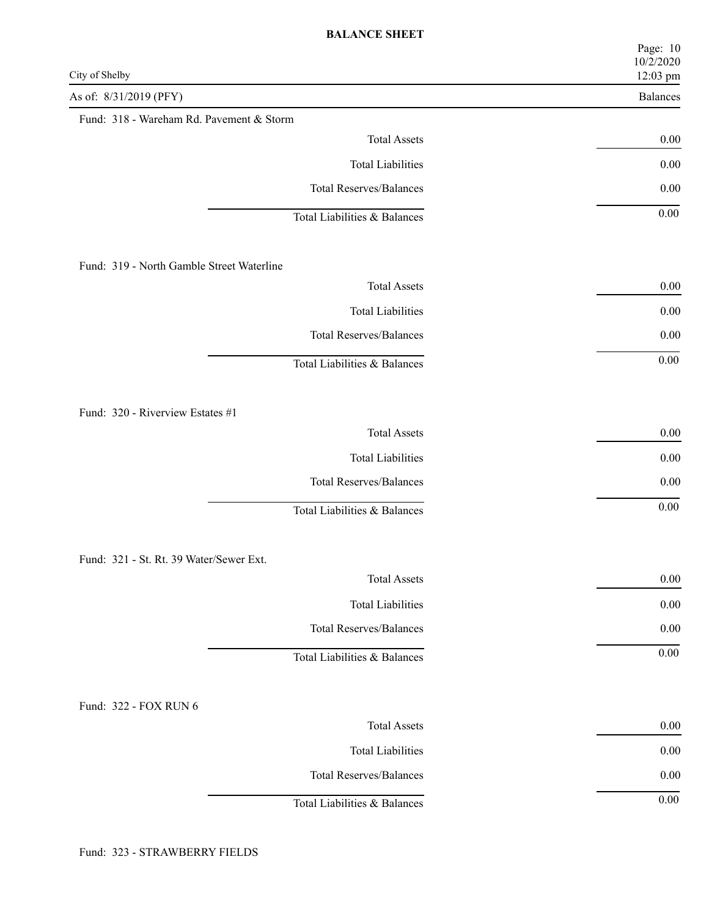| City of Shelby                            | Page: 10<br>10/2/2020<br>12:03 pm |
|-------------------------------------------|-----------------------------------|
| As of: 8/31/2019 (PFY)                    | Balances                          |
| Fund: 318 - Wareham Rd. Pavement & Storm  |                                   |
| <b>Total Assets</b>                       | 0.00                              |
| <b>Total Liabilities</b>                  | $0.00\,$                          |
| <b>Total Reserves/Balances</b>            | $0.00\,$                          |
| Total Liabilities & Balances              | $0.00\,$                          |
| Fund: 319 - North Gamble Street Waterline |                                   |
| <b>Total Assets</b>                       | $0.00\,$                          |
| <b>Total Liabilities</b>                  | $0.00\,$                          |
| <b>Total Reserves/Balances</b>            | $0.00\,$                          |
| Total Liabilities & Balances              | $0.00\,$                          |
| Fund: 320 - Riverview Estates #1          |                                   |
| <b>Total Assets</b>                       | 0.00                              |
| <b>Total Liabilities</b>                  | $0.00\,$                          |
| <b>Total Reserves/Balances</b>            | 0.00                              |
| Total Liabilities & Balances              | $0.00\,$                          |
| Fund: 321 - St. Rt. 39 Water/Sewer Ext.   |                                   |
| <b>Total Assets</b>                       | $0.00\,$                          |
| <b>Total Liabilities</b>                  | $0.00\,$                          |
| <b>Total Reserves/Balances</b>            | $0.00\,$                          |
| Total Liabilities & Balances              | $0.00\,$                          |
| Fund: 322 - FOX RUN 6                     |                                   |
| <b>Total Assets</b>                       | $0.00\,$                          |
| <b>Total Liabilities</b>                  | $0.00\,$                          |
| <b>Total Reserves/Balances</b>            | $0.00\,$                          |
| Total Liabilities & Balances              | $0.00\,$                          |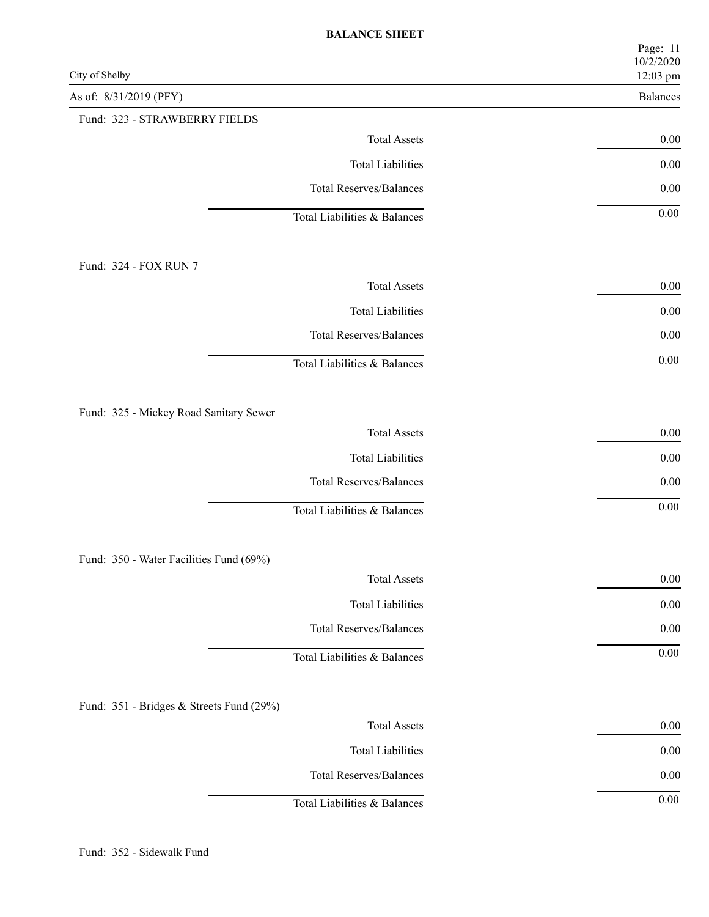| City of Shelby                           | Page: 11<br>10/2/2020<br>12:03 pm |
|------------------------------------------|-----------------------------------|
| As of: 8/31/2019 (PFY)                   | Balances                          |
| Fund: 323 - STRAWBERRY FIELDS            |                                   |
| <b>Total Assets</b>                      | $0.00\,$                          |
| <b>Total Liabilities</b>                 | $0.00\,$                          |
| <b>Total Reserves/Balances</b>           | $0.00\,$                          |
| Total Liabilities & Balances             | $0.00\,$                          |
| Fund: 324 - FOX RUN 7                    |                                   |
| <b>Total Assets</b>                      | $0.00\,$                          |
| <b>Total Liabilities</b>                 | $0.00\,$                          |
| <b>Total Reserves/Balances</b>           | $0.00\,$                          |
| Total Liabilities & Balances             | $0.00\,$                          |
| Fund: 325 - Mickey Road Sanitary Sewer   |                                   |
| <b>Total Assets</b>                      | $0.00\,$                          |
| <b>Total Liabilities</b>                 | $0.00\,$                          |
| <b>Total Reserves/Balances</b>           | $0.00\,$                          |
| Total Liabilities & Balances             | $0.00\,$                          |
| Fund: 350 - Water Facilities Fund (69%)  |                                   |
| <b>Total Assets</b>                      | $0.00\,$                          |
| <b>Total Liabilities</b>                 | $0.00\,$                          |
| <b>Total Reserves/Balances</b>           | $0.00\,$                          |
| Total Liabilities & Balances             | $0.00\,$                          |
| Fund: 351 - Bridges & Streets Fund (29%) |                                   |
| <b>Total Assets</b>                      | $0.00\,$                          |
| <b>Total Liabilities</b>                 | $0.00\,$                          |
| <b>Total Reserves/Balances</b>           | $0.00\,$                          |
| Total Liabilities & Balances             | $0.00\,$                          |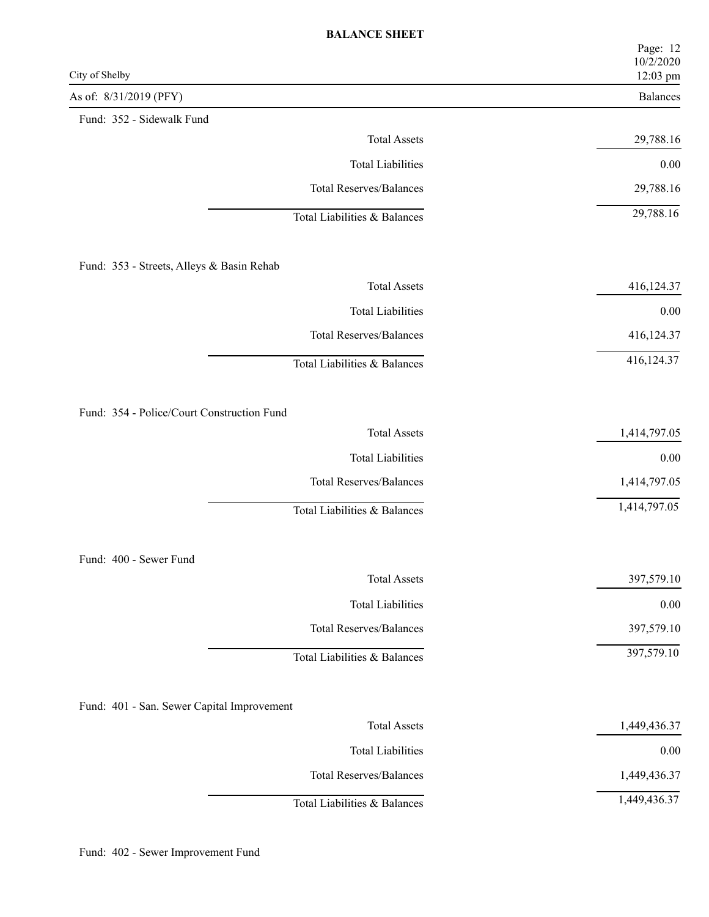| City of Shelby                             | Page: 12<br>10/2/2020<br>12:03 pm |
|--------------------------------------------|-----------------------------------|
| As of: 8/31/2019 (PFY)                     | Balances                          |
| Fund: 352 - Sidewalk Fund                  |                                   |
| <b>Total Assets</b>                        | 29,788.16                         |
| <b>Total Liabilities</b>                   | $0.00\,$                          |
| <b>Total Reserves/Balances</b>             | 29,788.16                         |
| Total Liabilities & Balances               | 29,788.16                         |
| Fund: 353 - Streets, Alleys & Basin Rehab  |                                   |
| <b>Total Assets</b>                        | 416,124.37                        |
| <b>Total Liabilities</b>                   | $0.00\,$                          |
| <b>Total Reserves/Balances</b>             | 416,124.37                        |
| Total Liabilities & Balances               | 416,124.37                        |
| Fund: 354 - Police/Court Construction Fund |                                   |
| <b>Total Assets</b>                        | 1,414,797.05                      |
| <b>Total Liabilities</b>                   | $0.00\,$                          |
| <b>Total Reserves/Balances</b>             | 1,414,797.05                      |
| Total Liabilities & Balances               | 1,414,797.05                      |
| Fund: 400 - Sewer Fund                     |                                   |
| <b>Total Assets</b>                        | 397,579.10                        |
| <b>Total Liabilities</b>                   | $0.00\,$                          |
| <b>Total Reserves/Balances</b>             | 397,579.10                        |
| Total Liabilities & Balances               | 397,579.10                        |
| Fund: 401 - San. Sewer Capital Improvement |                                   |
| <b>Total Assets</b>                        | 1,449,436.37                      |
| <b>Total Liabilities</b>                   | $0.00\,$                          |
| <b>Total Reserves/Balances</b>             | 1,449,436.37                      |
| Total Liabilities & Balances               | 1,449,436.37                      |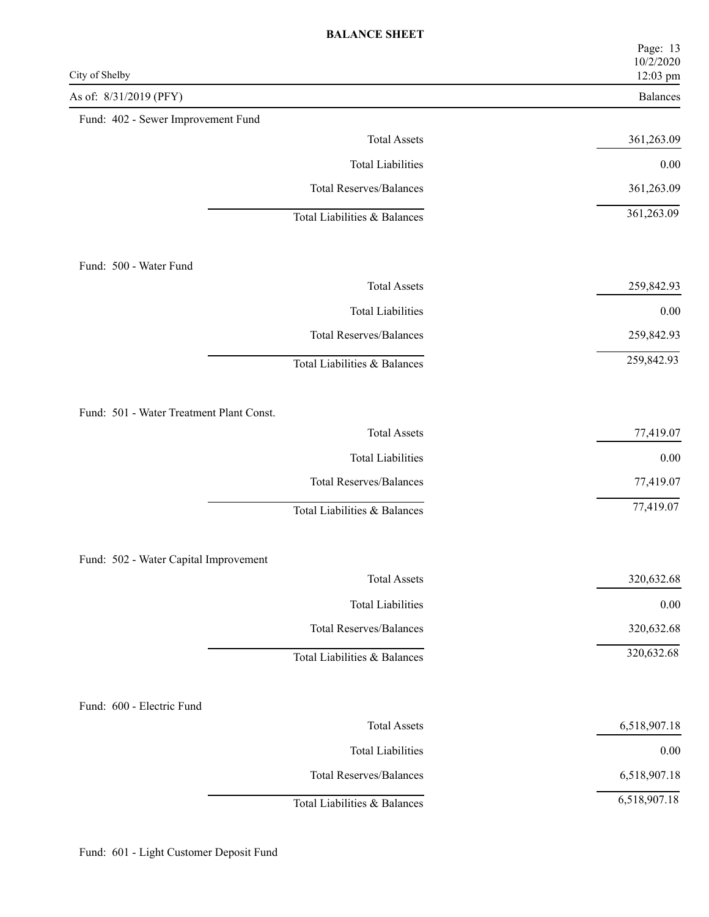| City of Shelby                           | Page: 13<br>10/2/2020<br>12:03 pm |
|------------------------------------------|-----------------------------------|
| As of: 8/31/2019 (PFY)                   | Balances                          |
| Fund: 402 - Sewer Improvement Fund       |                                   |
| <b>Total Assets</b>                      | 361,263.09                        |
| <b>Total Liabilities</b>                 | $0.00\,$                          |
| <b>Total Reserves/Balances</b>           | 361,263.09                        |
| Total Liabilities & Balances             | 361,263.09                        |
| Fund: 500 - Water Fund                   |                                   |
| <b>Total Assets</b>                      | 259,842.93                        |
| <b>Total Liabilities</b>                 | $0.00\,$                          |
| <b>Total Reserves/Balances</b>           | 259,842.93                        |
| Total Liabilities & Balances             | 259,842.93                        |
| Fund: 501 - Water Treatment Plant Const. |                                   |
| <b>Total Assets</b>                      | 77,419.07                         |
| <b>Total Liabilities</b>                 | $0.00\,$                          |
| <b>Total Reserves/Balances</b>           | 77,419.07                         |
| Total Liabilities & Balances             | 77,419.07                         |
| Fund: 502 - Water Capital Improvement    |                                   |
| <b>Total Assets</b>                      | 320,632.68                        |
| <b>Total Liabilities</b>                 | $0.00\,$                          |
| <b>Total Reserves/Balances</b>           | 320,632.68                        |
| Total Liabilities & Balances             | 320,632.68                        |
| Fund: 600 - Electric Fund                |                                   |
| <b>Total Assets</b>                      | 6,518,907.18                      |
| <b>Total Liabilities</b>                 | $0.00\,$                          |
| <b>Total Reserves/Balances</b>           | 6,518,907.18                      |
| Total Liabilities & Balances             | 6,518,907.18                      |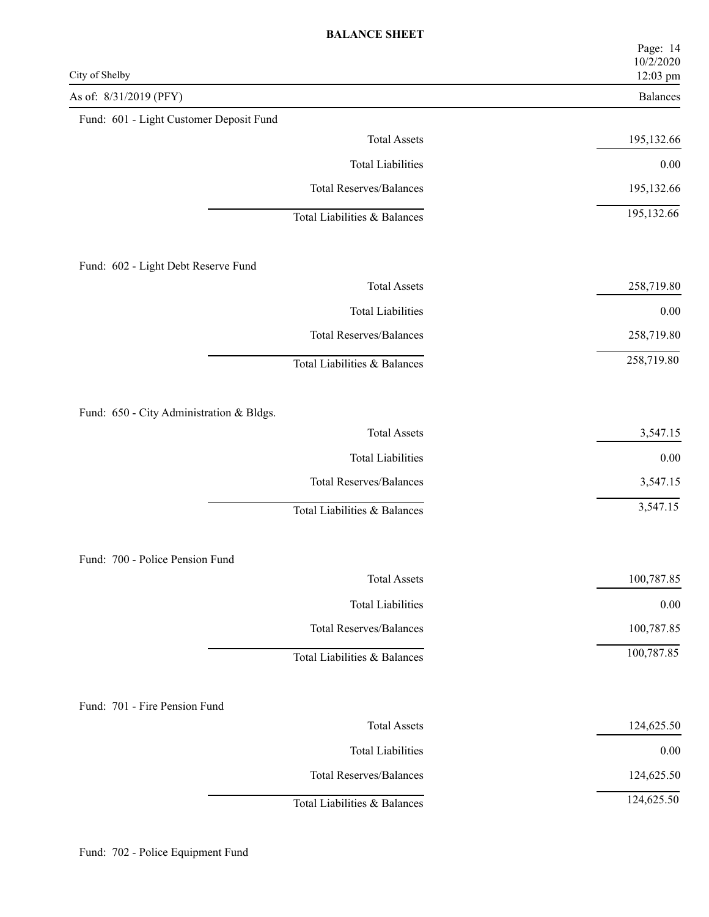| City of Shelby                           | Page: 14<br>10/2/2020<br>12:03 pm |
|------------------------------------------|-----------------------------------|
| As of: 8/31/2019 (PFY)                   | Balances                          |
| Fund: 601 - Light Customer Deposit Fund  |                                   |
| <b>Total Assets</b>                      | 195,132.66                        |
| <b>Total Liabilities</b>                 | $0.00\,$                          |
| <b>Total Reserves/Balances</b>           | 195,132.66                        |
| Total Liabilities & Balances             | 195,132.66                        |
| Fund: 602 - Light Debt Reserve Fund      |                                   |
| <b>Total Assets</b>                      | 258,719.80                        |
| <b>Total Liabilities</b>                 | $0.00\,$                          |
| <b>Total Reserves/Balances</b>           | 258,719.80                        |
| Total Liabilities & Balances             | 258,719.80                        |
| Fund: 650 - City Administration & Bldgs. |                                   |
| <b>Total Assets</b>                      | 3,547.15                          |
| <b>Total Liabilities</b>                 | $0.00\,$                          |
| <b>Total Reserves/Balances</b>           | 3,547.15                          |
| Total Liabilities & Balances             | 3,547.15                          |
| Fund: 700 - Police Pension Fund          |                                   |
| <b>Total Assets</b>                      | 100,787.85                        |
| <b>Total Liabilities</b>                 | $0.00\,$                          |
| <b>Total Reserves/Balances</b>           | 100,787.85                        |
| Total Liabilities & Balances             | 100,787.85                        |
| Fund: 701 - Fire Pension Fund            |                                   |
| <b>Total Assets</b>                      | 124,625.50                        |
| <b>Total Liabilities</b>                 | $0.00\,$                          |
| <b>Total Reserves/Balances</b>           | 124,625.50                        |
| Total Liabilities & Balances             | 124,625.50                        |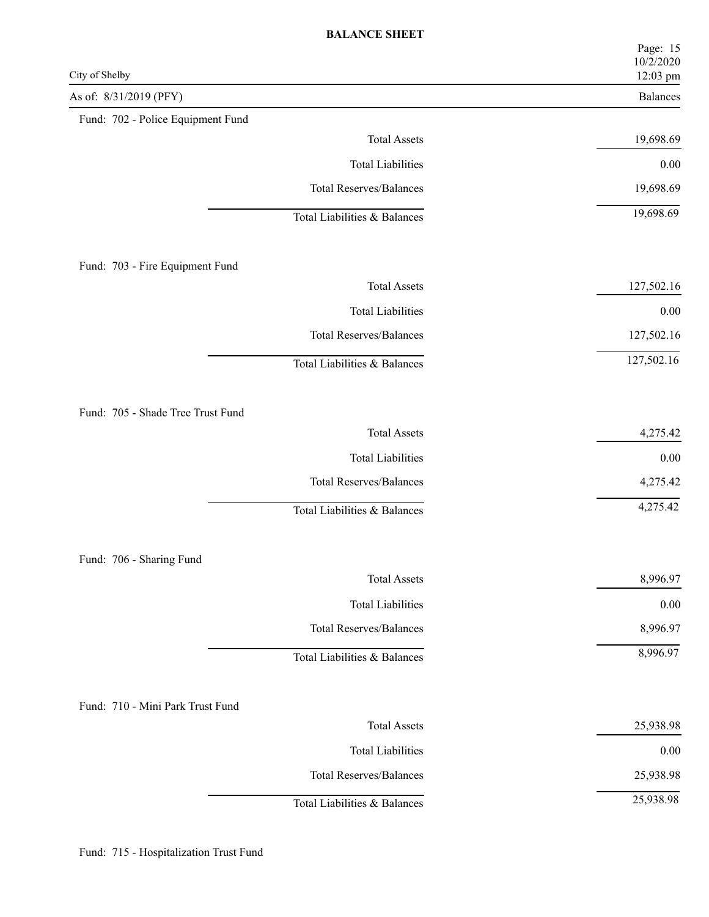| City of Shelby                    | Page: 15<br>10/2/2020<br>12:03 pm |
|-----------------------------------|-----------------------------------|
| As of: 8/31/2019 (PFY)            | Balances                          |
| Fund: 702 - Police Equipment Fund |                                   |
| <b>Total Assets</b>               | 19,698.69                         |
| <b>Total Liabilities</b>          | $0.00\,$                          |
| <b>Total Reserves/Balances</b>    | 19,698.69                         |
| Total Liabilities & Balances      | 19,698.69                         |
| Fund: 703 - Fire Equipment Fund   |                                   |
| <b>Total Assets</b>               | 127,502.16                        |
| <b>Total Liabilities</b>          | $0.00\,$                          |
| <b>Total Reserves/Balances</b>    | 127,502.16                        |
| Total Liabilities & Balances      | 127,502.16                        |
| Fund: 705 - Shade Tree Trust Fund |                                   |
| <b>Total Assets</b>               | 4,275.42                          |
| <b>Total Liabilities</b>          | $0.00\,$                          |
| <b>Total Reserves/Balances</b>    | 4,275.42                          |
| Total Liabilities & Balances      | 4,275.42                          |
| Fund: 706 - Sharing Fund          |                                   |
| <b>Total Assets</b>               | 8,996.97                          |
| <b>Total Liabilities</b>          | $0.00\,$                          |
| <b>Total Reserves/Balances</b>    | 8,996.97                          |
| Total Liabilities & Balances      | 8,996.97                          |
| Fund: 710 - Mini Park Trust Fund  |                                   |
| <b>Total Assets</b>               | 25,938.98                         |
| <b>Total Liabilities</b>          | $0.00\,$                          |
| <b>Total Reserves/Balances</b>    | 25,938.98                         |
| Total Liabilities & Balances      | 25,938.98                         |